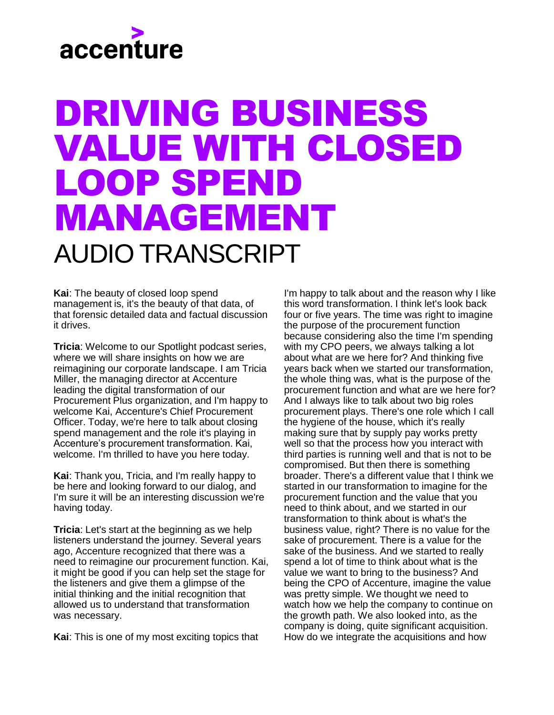#### DRIVING BUSINESS VALUE WITH CLOSED LOOP SPEND MANAGEMENT AUDIO TRANSCRIPT

**Kai**: The beauty of closed loop spend management is, it's the beauty of that data, of that forensic detailed data and factual discussion it drives.

**Tricia**: Welcome to our Spotlight podcast series, where we will share insights on how we are reimagining our corporate landscape. I am Tricia Miller, the managing director at Accenture leading the digital transformation of our Procurement Plus organization, and I'm happy to welcome Kai, Accenture's Chief Procurement Officer. Today, we're here to talk about closing spend management and the role it's playing in Accenture's procurement transformation. Kai, welcome. I'm thrilled to have you here today.

**Kai**: Thank you, Tricia, and I'm really happy to be here and looking forward to our dialog, and I'm sure it will be an interesting discussion we're having today.

**Tricia**: Let's start at the beginning as we help listeners understand the journey. Several years ago, Accenture recognized that there was a need to reimagine our procurement function. Kai, it might be good if you can help set the stage for the listeners and give them a glimpse of the initial thinking and the initial recognition that allowed us to understand that transformation was necessary.

**Kai**: This is one of my most exciting topics that

I'm happy to talk about and the reason why I like this word transformation. I think let's look back four or five years. The time was right to imagine the purpose of the procurement function because considering also the time I'm spending with my CPO peers, we always talking a lot about what are we here for? And thinking five years back when we started our transformation, the whole thing was, what is the purpose of the procurement function and what are we here for? And I always like to talk about two big roles procurement plays. There's one role which I call the hygiene of the house, which it's really making sure that by supply pay works pretty well so that the process how you interact with third parties is running well and that is not to be compromised. But then there is something broader. There's a different value that I think we started in our transformation to imagine for the procurement function and the value that you need to think about, and we started in our transformation to think about is what's the business value, right? There is no value for the sake of procurement. There is a value for the sake of the business. And we started to really spend a lot of time to think about what is the value we want to bring to the business? And being the CPO of Accenture, imagine the value was pretty simple. We thought we need to watch how we help the company to continue on the growth path. We also looked into, as the company is doing, quite significant acquisition. How do we integrate the acquisitions and how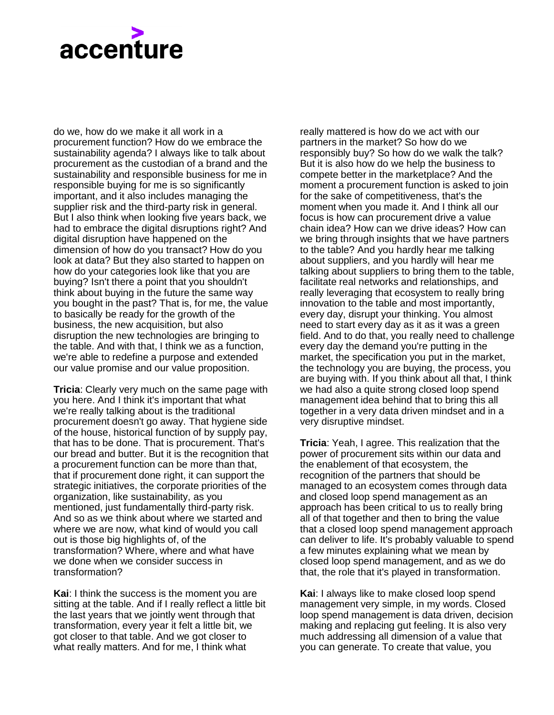do we, how do we make it all work in a procurement function? How do we embrace the sustainability agenda? I always like to talk about procurement as the custodian of a brand and the sustainability and responsible business for me in responsible buying for me is so significantly important, and it also includes managing the supplier risk and the third-party risk in general. But I also think when looking five years back, we had to embrace the digital disruptions right? And digital disruption have happened on the dimension of how do you transact? How do you look at data? But they also started to happen on how do your categories look like that you are buying? Isn't there a point that you shouldn't think about buying in the future the same way you bought in the past? That is, for me, the value to basically be ready for the growth of the business, the new acquisition, but also disruption the new technologies are bringing to the table. And with that, I think we as a function, we're able to redefine a purpose and extended our value promise and our value proposition.

**Tricia**: Clearly very much on the same page with you here. And I think it's important that what we're really talking about is the traditional procurement doesn't go away. That hygiene side of the house, historical function of by supply pay, that has to be done. That is procurement. That's our bread and butter. But it is the recognition that a procurement function can be more than that, that if procurement done right, it can support the strategic initiatives, the corporate priorities of the organization, like sustainability, as you mentioned, just fundamentally third-party risk. And so as we think about where we started and where we are now, what kind of would you call out is those big highlights of, of the transformation? Where, where and what have we done when we consider success in transformation?

**Kai**: I think the success is the moment you are sitting at the table. And if I really reflect a little bit the last years that we jointly went through that transformation, every year it felt a little bit, we got closer to that table. And we got closer to what really matters. And for me, I think what

really mattered is how do we act with our partners in the market? So how do we responsibly buy? So how do we walk the talk? But it is also how do we help the business to compete better in the marketplace? And the moment a procurement function is asked to join for the sake of competitiveness, that's the moment when you made it. And I think all our focus is how can procurement drive a value chain idea? How can we drive ideas? How can we bring through insights that we have partners to the table? And you hardly hear me talking about suppliers, and you hardly will hear me talking about suppliers to bring them to the table, facilitate real networks and relationships, and really leveraging that ecosystem to really bring innovation to the table and most importantly, every day, disrupt your thinking. You almost need to start every day as it as it was a green field. And to do that, you really need to challenge every day the demand you're putting in the market, the specification you put in the market, the technology you are buying, the process, you are buying with. If you think about all that, I think we had also a quite strong closed loop spend management idea behind that to bring this all together in a very data driven mindset and in a very disruptive mindset.

**Tricia**: Yeah, I agree. This realization that the power of procurement sits within our data and the enablement of that ecosystem, the recognition of the partners that should be managed to an ecosystem comes through data and closed loop spend management as an approach has been critical to us to really bring all of that together and then to bring the value that a closed loop spend management approach can deliver to life. It's probably valuable to spend a few minutes explaining what we mean by closed loop spend management, and as we do that, the role that it's played in transformation.

**Kai**: I always like to make closed loop spend management very simple, in my words. Closed loop spend management is data driven, decision making and replacing gut feeling. It is also very much addressing all dimension of a value that you can generate. To create that value, you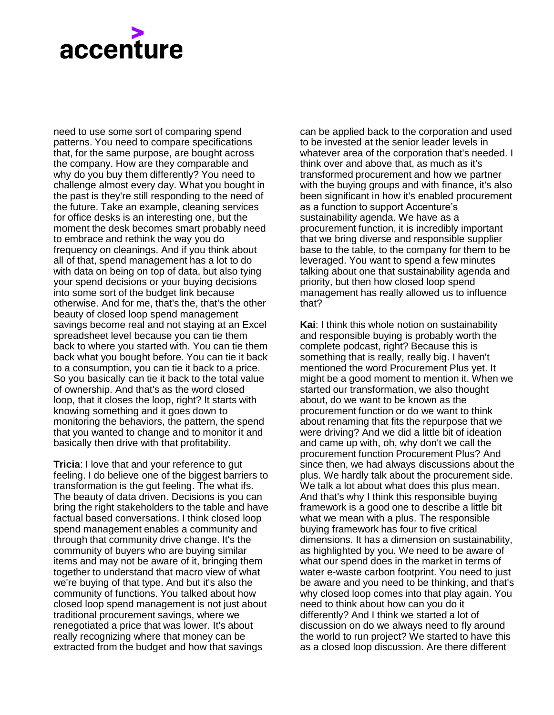need to use some sort of comparing spend patterns. You need to compare specifications that, for the same purpose, are bought across the company. How are they comparable and why do you buy them differently? You need to challenge almost every day. What you bought in the past is they're still responding to the need of the future. Take an example, cleaning services for office desks is an interesting one, but the moment the desk becomes smart probably need to embrace and rethink the way you do frequency on cleanings. And if you think about all of that, spend management has a lot to do with data on being on top of data, but also tying your spend decisions or your buying decisions into some sort of the budget link because otherwise. And for me, that's the, that's the other beauty of closed loop spend management savings become real and not staying at an Excel spreadsheet level because you can tie them back to where you started with. You can tie them back what you bought before. You can tie it back to a consumption, you can tie it back to a price. So you basically can tie it back to the total value of ownership. And that's as the word closed loop, that it closes the loop, right? It starts with knowing something and it goes down to monitoring the behaviors, the pattern, the spend that you wanted to change and to monitor it and basically then drive with that profitability.

**Tricia**: I love that and your reference to gut feeling. I do believe one of the biggest barriers to transformation is the gut feeling. The what ifs. The beauty of data driven. Decisions is you can bring the right stakeholders to the table and have factual based conversations. I think closed loop spend management enables a community and through that community drive change. It's the community of buyers who are buying similar items and may not be aware of it, bringing them together to understand that macro view of what we're buying of that type. And but it's also the community of functions. You talked about how closed loop spend management is not just about traditional procurement savings, where we renegotiated a price that was lower. It's about really recognizing where that money can be extracted from the budget and how that savings

can be applied back to the corporation and used to be invested at the senior leader levels in whatever area of the corporation that's needed. I think over and above that, as much as it's transformed procurement and how we partner with the buying groups and with finance, it's also been significant in how it's enabled procurement as a function to support Accenture's sustainability agenda. We have as a procurement function, it is incredibly important that we bring diverse and responsible supplier base to the table, to the company for them to be leveraged. You want to spend a few minutes talking about one that sustainability agenda and priority, but then how closed loop spend management has really allowed us to influence that?

**Kai**: I think this whole notion on sustainability and responsible buying is probably worth the complete podcast, right? Because this is something that is really, really big. I haven't mentioned the word Procurement Plus yet. It might be a good moment to mention it. When we started our transformation, we also thought about, do we want to be known as the procurement function or do we want to think about renaming that fits the repurpose that we were driving? And we did a little bit of ideation and came up with, oh, why don't we call the procurement function Procurement Plus? And since then, we had always discussions about the plus. We hardly talk about the procurement side. We talk a lot about what does this plus mean. And that's why I think this responsible buying framework is a good one to describe a little bit what we mean with a plus. The responsible buying framework has four to five critical dimensions. It has a dimension on sustainability, as highlighted by you. We need to be aware of what our spend does in the market in terms of water e-waste carbon footprint. You need to just be aware and you need to be thinking, and that's why closed loop comes into that play again. You need to think about how can you do it differently? And I think we started a lot of discussion on do we always need to fly around the world to run project? We started to have this as a closed loop discussion. Are there different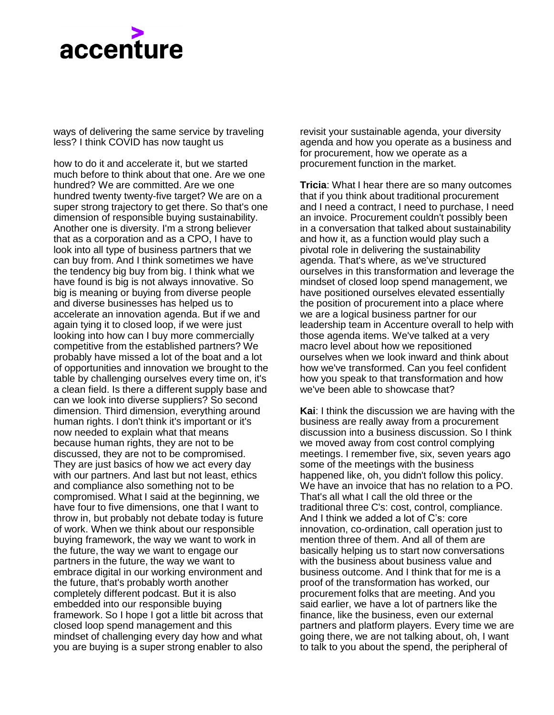ways of delivering the same service by traveling less? I think COVID has now taught us

how to do it and accelerate it, but we started much before to think about that one. Are we one hundred? We are committed. Are we one hundred twenty twenty-five target? We are on a super strong trajectory to get there. So that's one dimension of responsible buying sustainability. Another one is diversity. I'm a strong believer that as a corporation and as a CPO, I have to look into all type of business partners that we can buy from. And I think sometimes we have the tendency big buy from big. I think what we have found is big is not always innovative. So big is meaning or buying from diverse people and diverse businesses has helped us to accelerate an innovation agenda. But if we and again tying it to closed loop, if we were just looking into how can I buy more commercially competitive from the established partners? We probably have missed a lot of the boat and a lot of opportunities and innovation we brought to the table by challenging ourselves every time on, it's a clean field. Is there a different supply base and can we look into diverse suppliers? So second dimension. Third dimension, everything around human rights. I don't think it's important or it's now needed to explain what that means because human rights, they are not to be discussed, they are not to be compromised. They are just basics of how we act every day with our partners. And last but not least, ethics and compliance also something not to be compromised. What I said at the beginning, we have four to five dimensions, one that I want to throw in, but probably not debate today is future of work. When we think about our responsible buying framework, the way we want to work in the future, the way we want to engage our partners in the future, the way we want to embrace digital in our working environment and the future, that's probably worth another completely different podcast. But it is also embedded into our responsible buying framework. So I hope I got a little bit across that closed loop spend management and this mindset of challenging every day how and what you are buying is a super strong enabler to also

revisit your sustainable agenda, your diversity agenda and how you operate as a business and for procurement, how we operate as a procurement function in the market.

**Tricia**: What I hear there are so many outcomes that if you think about traditional procurement and I need a contract, I need to purchase, I need an invoice. Procurement couldn't possibly been in a conversation that talked about sustainability and how it, as a function would play such a pivotal role in delivering the sustainability agenda. That's where, as we've structured ourselves in this transformation and leverage the mindset of closed loop spend management, we have positioned ourselves elevated essentially the position of procurement into a place where we are a logical business partner for our leadership team in Accenture overall to help with those agenda items. We've talked at a very macro level about how we repositioned ourselves when we look inward and think about how we've transformed. Can you feel confident how you speak to that transformation and how we've been able to showcase that?

**Kai**: I think the discussion we are having with the business are really away from a procurement discussion into a business discussion. So I think we moved away from cost control complying meetings. I remember five, six, seven years ago some of the meetings with the business happened like, oh, you didn't follow this policy. We have an invoice that has no relation to a PO. That's all what I call the old three or the traditional three C's: cost, control, compliance. And I think we added a lot of C's: core innovation, co-ordination, call operation just to mention three of them. And all of them are basically helping us to start now conversations with the business about business value and business outcome. And I think that for me is a proof of the transformation has worked, our procurement folks that are meeting. And you said earlier, we have a lot of partners like the finance, like the business, even our external partners and platform players. Every time we are going there, we are not talking about, oh, I want to talk to you about the spend, the peripheral of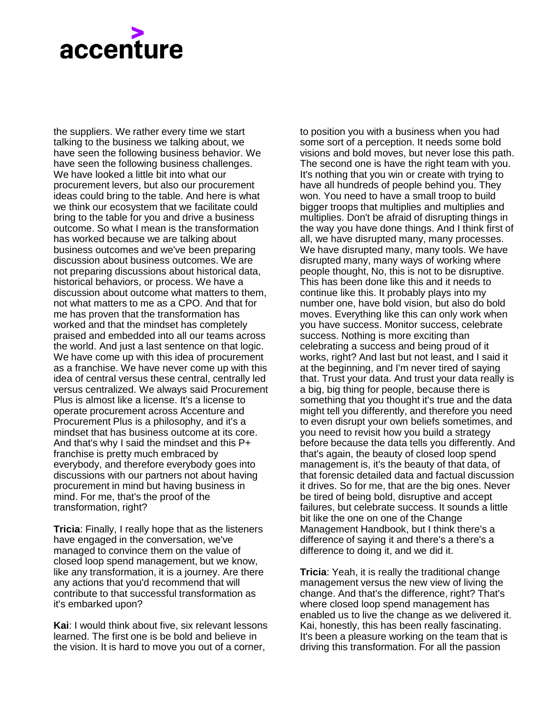the suppliers. We rather every time we start talking to the business we talking about, we have seen the following business behavior. We have seen the following business challenges. We have looked a little bit into what our procurement levers, but also our procurement ideas could bring to the table. And here is what we think our ecosystem that we facilitate could bring to the table for you and drive a business outcome. So what I mean is the transformation has worked because we are talking about business outcomes and we've been preparing discussion about business outcomes. We are not preparing discussions about historical data, historical behaviors, or process. We have a discussion about outcome what matters to them, not what matters to me as a CPO. And that for me has proven that the transformation has worked and that the mindset has completely praised and embedded into all our teams across the world. And just a last sentence on that logic. We have come up with this idea of procurement as a franchise. We have never come up with this idea of central versus these central, centrally led versus centralized. We always said Procurement Plus is almost like a license. It's a license to operate procurement across Accenture and Procurement Plus is a philosophy, and it's a mindset that has business outcome at its core. And that's why I said the mindset and this P+ franchise is pretty much embraced by everybody, and therefore everybody goes into discussions with our partners not about having procurement in mind but having business in mind. For me, that's the proof of the transformation, right?

**Tricia**: Finally, I really hope that as the listeners have engaged in the conversation, we've managed to convince them on the value of closed loop spend management, but we know, like any transformation, it is a journey. Are there any actions that you'd recommend that will contribute to that successful transformation as it's embarked upon?

**Kai**: I would think about five, six relevant lessons learned. The first one is be bold and believe in the vision. It is hard to move you out of a corner,

to position you with a business when you had some sort of a perception. It needs some bold visions and bold moves, but never lose this path. The second one is have the right team with you. It's nothing that you win or create with trying to have all hundreds of people behind you. They won. You need to have a small troop to build bigger troops that multiplies and multiplies and multiplies. Don't be afraid of disrupting things in the way you have done things. And I think first of all, we have disrupted many, many processes. We have disrupted many, many tools. We have disrupted many, many ways of working where people thought, No, this is not to be disruptive. This has been done like this and it needs to continue like this. It probably plays into my number one, have bold vision, but also do bold moves. Everything like this can only work when you have success. Monitor success, celebrate success. Nothing is more exciting than celebrating a success and being proud of it works, right? And last but not least, and I said it at the beginning, and I'm never tired of saying that. Trust your data. And trust your data really is a big, big thing for people, because there is something that you thought it's true and the data might tell you differently, and therefore you need to even disrupt your own beliefs sometimes, and you need to revisit how you build a strategy before because the data tells you differently. And that's again, the beauty of closed loop spend management is, it's the beauty of that data, of that forensic detailed data and factual discussion it drives. So for me, that are the big ones. Never be tired of being bold, disruptive and accept failures, but celebrate success. It sounds a little bit like the one on one of the Change Management Handbook, but I think there's a difference of saying it and there's a there's a difference to doing it, and we did it.

**Tricia**: Yeah, it is really the traditional change management versus the new view of living the change. And that's the difference, right? That's where closed loop spend management has enabled us to live the change as we delivered it. Kai, honestly, this has been really fascinating. It's been a pleasure working on the team that is driving this transformation. For all the passion